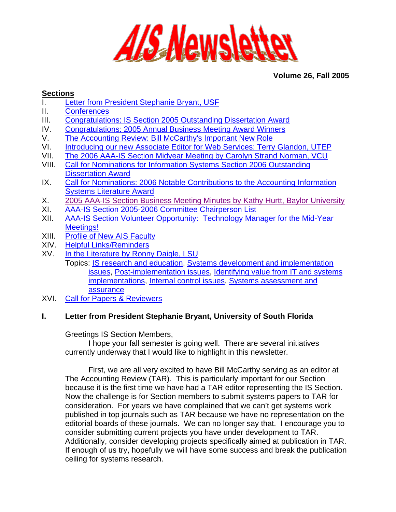

# **Volume 26, Fall 2005**

# <span id="page-0-0"></span>**Sections**

- I. [Letter from President Stephanie Bryant, USF](#page-0-0)
- II. [Conferences](#page-2-0)
- III. [Congratulations: IS Section 2005 Outstanding Dissertation Award](#page-2-0)
- IV. [Congratulations: 2005 Annual Business Meeting Award Winners](#page-3-0)
- V. [The Accounting Review: Bill McCarthy's Important New Role](#page-3-0)
- VI. [Introducing our new Associate Editor for Web Services: Terry Glandon, UTEP](#page-4-0)
- VII. [The 2006 AAA-IS Section Midyear Meeting by Carolyn Strand Norman, VCU](#page-4-0)
- VIII. [Call for Nominations for Information Systems Section 2006 Outstanding](#page-5-0)  [Dissertation Award](#page-5-0)
- IX. [Call for Nominations: 2006 Notable Contributions to the Accounting Information](#page-6-0)  [Systems Literature Award](#page-6-0)
- X. 2005 AAA-IS Section Business Meeting Minutes by Kathy Hurtt, Baylor University
- XI. [AAA-IS Section 2005-2006 Committee Chairperson List](#page-16-0)
- XII. [AAA-IS Section Volunteer Opportunity: Technology Manager](#page-16-0) for the Mid-Year [Meetings!](#page-16-0)
- XIII. [Profile of New AIS Faculty](#page-17-0)
- XIV. [Helpful Links/Reminders](#page-18-0)
- XV. [In the Literature by Ronny Daigle, LSU](#page-18-0)
	- Topics: [IS research and education,](#page-18-0) [Systems development and implementation](#page-21-0)  [issues,](#page-21-0) [Post-implementation issues](#page-23-0), [Identifying value from IT and systems](#page-25-0)  [implementations](#page-25-0), [Internal control issues](#page-26-0), [Systems assessment and](#page-28-0)  [assurance](#page-28-0)
- XVI. [Call for Papers & Reviewers](#page-29-0)

# **I. Letter from President Stephanie Bryant, University of South Florida**

Greetings IS Section Members,

I hope your fall semester is going well. There are several initiatives currently underway that I would like to highlight in this newsletter.

First, we are all very excited to have Bill McCarthy serving as an editor at The Accounting Review (TAR). This is particularly important for our Section because it is the first time we have had a TAR editor representing the IS Section. Now the challenge is for Section members to submit systems papers to TAR for consideration. For years we have complained that we can't get systems work published in top journals such as TAR because we have no representation on the editorial boards of these journals. We can no longer say that. I encourage you to consider submitting current projects you have under development to TAR. Additionally, consider developing projects specifically aimed at publication in TAR. If enough of us try, hopefully we will have some success and break the publication ceiling for systems research.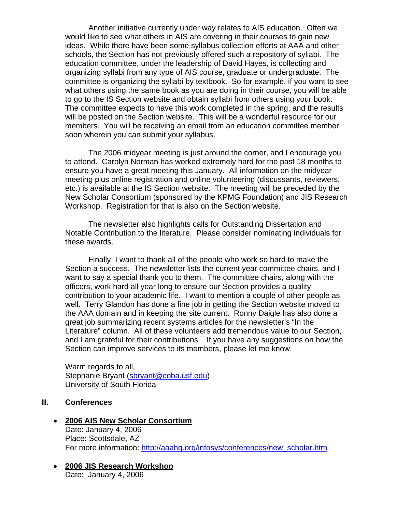Another initiative currently under way relates to AIS education. Often we would like to see what others in AIS are covering in their courses to gain new ideas. While there have been some syllabus collection efforts at AAA and other schools, the Section has not previously offered such a repository of syllabi. The education committee, under the leadership of David Hayes, is collecting and organizing syllabi from any type of AIS course, graduate or undergraduate. The committee is organizing the syllabi by textbook. So for example, if you want to see what others using the same book as you are doing in their course, you will be able to go to the IS Section website and obtain syllabi from others using your book. The committee expects to have this work completed in the spring, and the results will be posted on the Section website. This will be a wonderful resource for our members. You will be receiving an email from an education committee member soon wherein you can submit your syllabus.

 The 2006 midyear meeting is just around the corner, and I encourage you to attend. Carolyn Norman has worked extremely hard for the past 18 months to ensure you have a great meeting this January. All information on the midyear meeting plus online registration and online volunteering (discussants, reviewers, etc.) is available at the IS Section website. The meeting will be preceded by the New Scholar Consortium (sponsored by the KPMG Foundation) and JIS Research Workshop. Registration for that is also on the Section website.

 The newsletter also highlights calls for Outstanding Dissertation and Notable Contribution to the literature. Please consider nominating individuals for these awards.

 Finally, I want to thank all of the people who work so hard to make the Section a success. The newsletter lists the current year committee chairs, and I want to say a special thank you to them. The committee chairs, along with the officers, work hard all year long to ensure our Section provides a quality contribution to your academic life. I want to mention a couple of other people as well. Terry Glandon has done a fine job in getting the Section website moved to the AAA domain and in keeping the site current. Ronny Daigle has also done a great job summarizing recent systems articles for the newsletter's "In the Literature" column. All of these volunteers add tremendous value to our Section, and I am grateful for their contributions. If you have any suggestions on how the Section can improve services to its members, please let me know.

Warm regards to all, Stephanie Bryant [\(sbryant@coba.usf.edu](mailto:sbryant@coba.usf.edu)) University of South Florida

# **II. Conferences**

- **2006 AIS New Scholar Consortium** Date: January 4, 2006 Place: Scottsdale, AZ For more information: [http://aaahq.org/infosys/conferences/new\\_scholar.htm](http://aaahq.org/infosys/conferences/new_scholar.htm)
- **2006 JIS Research Workshop** Date: January 4, 2006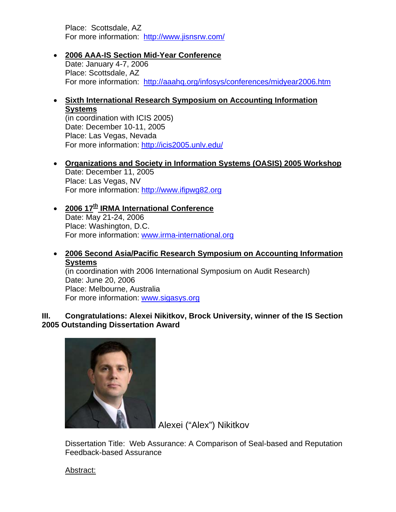<span id="page-2-0"></span>Place: Scottsdale, AZ For more information: <http://www.jisnsrw.com/>

# • **2006 AAA-IS Section Mid-Year Conference**

Date: January 4-7, 2006 Place: Scottsdale, AZ For more information: <http://aaahq.org/infosys/conferences/midyear2006.htm>

# • **Sixth International Research Symposium on Accounting Information Systems**

(in coordination with ICIS 2005) Date: December 10-11, 2005 Place: Las Vegas, Nevada For more information: <http://icis2005.unlv.edu/>

- **Organizations and Society in Information Systems (OASIS) 2005 Workshop** Date: December 11, 2005 Place: Las Vegas, NV For more information: [http://www.ifipwg82.org](http://www.ifipwg82.org/)
- **2006 17<sup>th</sup> IRMA International Conference** Date: May 21-24, 2006 Place: Washington, D.C. For more information: [www.irma-international.org](http://www.irma-international.org/)

# • **2006 Second Asia/Pacific Research Symposium on Accounting Information Systems**

(in coordination with 2006 International Symposium on Audit Research) Date: June 20, 2006 Place: Melbourne, Australia For more information: [www.sigasys.org](http://www.sigasys.org/) 

# **III. Congratulations: Alexei Nikitkov, Brock University, winner of the IS Section 2005 Outstanding Dissertation Award**



Alexei ("Alex") Nikitkov

Dissertation Title: Web Assurance: A Comparison of Seal-based and Reputation Feedback-based Assurance

Abstract: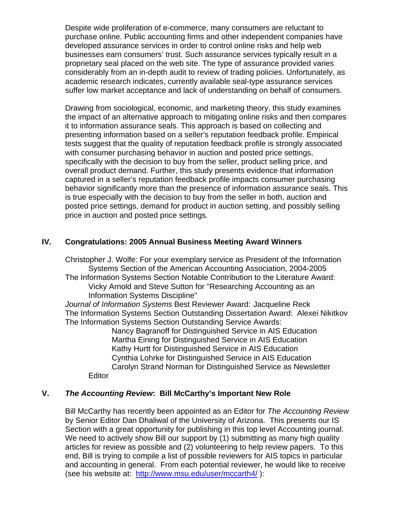<span id="page-3-0"></span>Despite wide proliferation of e-commerce, many consumers are reluctant to purchase online. Public accounting firms and other independent companies have developed assurance services in order to control online risks and help web businesses earn consumers' trust. Such assurance services typically result in a proprietary seal placed on the web site. The type of assurance provided varies considerably from an in-depth audit to review of trading policies. Unfortunately, as academic research indicates, currently available seal-type assurance services suffer low market acceptance and lack of understanding on behalf of consumers.

Drawing from sociological, economic, and marketing theory, this study examines the impact of an alternative approach to mitigating online risks and then compares it to information assurance seals. This approach is based on collecting and presenting information based on a seller's reputation feedback profile. Empirical tests suggest that the quality of reputation feedback profile is strongly associated with consumer purchasing behavior in auction and posted price settings, specifically with the decision to buy from the seller, product selling price, and overall product demand. Further, this study presents evidence that information captured in a seller's reputation feedback profile impacts consumer purchasing behavior significantly more than the presence of information assurance seals. This is true especially with the decision to buy from the seller in both, auction and posted price settings, demand for product in auction setting, and possibly selling price in auction and posted price settings.

# **IV. Congratulations: 2005 Annual Business Meeting Award Winners**

Christopher J. Wolfe: For your exemplary service as President of the Information Systems Section of the American Accounting Association, 2004-2005 The Information Systems Section Notable Contribution to the Literature Award: Vicky Arnold and Steve Sutton for "Researching Accounting as an Information Systems Discipline"

*Journal of Information Systems* Best Reviewer Award: Jacqueline Reck The Information Systems Section Outstanding Dissertation Award: Alexei Nikitkov The Information Systems Section Outstanding Service Awards:

Nancy Bagranoff for Distinguished Service in AIS Education Martha Eining for Distinguished Service in AIS Education Kathy Hurtt for Distinguished Service in AIS Education Cynthia Lohrke for Distinguished Service in AIS Education Carolyn Strand Norman for Distinguished Service as Newsletter

# **V.** *The Accounting Review***: Bill McCarthy's Important New Role**

**Editor** 

Bill McCarthy has recently been appointed as an Editor for *The Accounting Review* by Senior Editor Dan Dhaliwal of the University of Arizona. This presents our IS Section with a great opportunity for publishing in this top level Accounting journal. We need to actively show Bill our support by (1) submitting as many high quality articles for review as possible and (2) volunteering to help review papers. To this end, Bill is trying to compile a list of possible reviewers for AIS topics in particular and accounting in general. From each potential reviewer, he would like to receive (see his website at: <http://www.msu.edu/user/mccarth4/> ):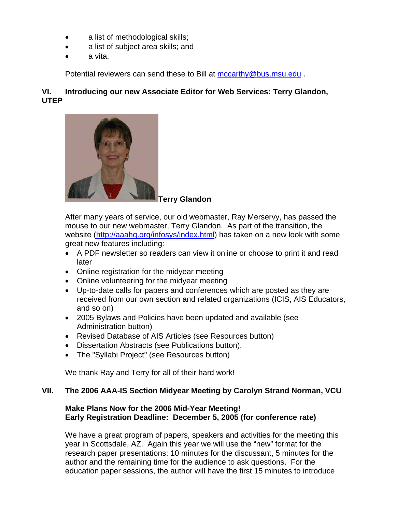- <span id="page-4-0"></span>• a list of methodological skills;
- a list of subject area skills; and
- a vita.

Potential reviewers can send these to Bill at mccarthy@bus.msu.edu.

# **VI. Introducing our new Associate Editor for Web Services: Terry Glandon, UTEP**



#### **Terry Glandon**

After many years of service, our old webmaster, Ray Merservy, has passed the mouse to our new webmaster, Terry Glandon. As part of the transition, the website ([http://aaahq.org/infosys/index.html\)](http://aaahq.org/infosys/index.html) has taken on a new look with some great new features including:

- A PDF newsletter so readers can view it online or choose to print it and read later
- Online registration for the midyear meeting
- Online volunteering for the midyear meeting
- Up-to-date calls for papers and conferences which are posted as they are received from our own section and related organizations (ICIS, AIS Educators, and so on)
- 2005 Bylaws and Policies have been updated and available (see Administration button)
- Revised Database of AIS Articles (see Resources button)
- Dissertation Abstracts (see Publications button).
- The "Syllabi Project" (see Resources button)

We thank Ray and Terry for all of their hard work!

# **VII. The 2006 AAA-IS Section Midyear Meeting by Carolyn Strand Norman, VCU**

# **Make Plans Now for the 2006 Mid-Year Meeting! Early Registration Deadline: December 5, 2005 (for conference rate)**

We have a great program of papers, speakers and activities for the meeting this year in Scottsdale, AZ. Again this year we will use the "new" format for the research paper presentations: 10 minutes for the discussant, 5 minutes for the author and the remaining time for the audience to ask questions. For the education paper sessions, the author will have the first 15 minutes to introduce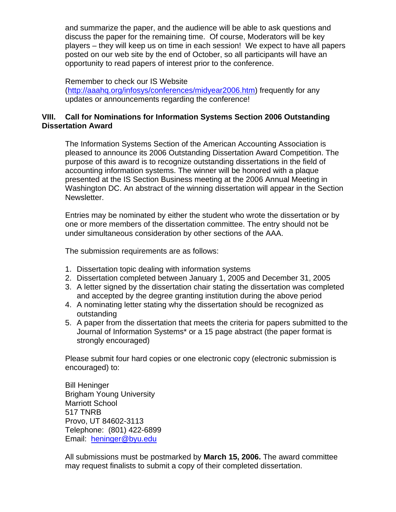<span id="page-5-0"></span>and summarize the paper, and the audience will be able to ask questions and discuss the paper for the remaining time. Of course, Moderators will be key players – they will keep us on time in each session! We expect to have all papers posted on our web site by the end of October, so all participants will have an opportunity to read papers of interest prior to the conference.

Remember to check our IS Website (<http://aaahq.org/infosys/conferences/midyear2006.htm>) frequently for any updates or announcements regarding the conference!

# **VIII. Call for Nominations for Information Systems Section 2006 Outstanding Dissertation Award**

The Information Systems Section of the American Accounting Association is pleased to announce its 2006 Outstanding Dissertation Award Competition. The purpose of this award is to recognize outstanding dissertations in the field of accounting information systems. The winner will be honored with a plaque presented at the IS Section Business meeting at the 2006 Annual Meeting in Washington DC. An abstract of the winning dissertation will appear in the Section Newsletter.

Entries may be nominated by either the student who wrote the dissertation or by one or more members of the dissertation committee. The entry should not be under simultaneous consideration by other sections of the AAA.

The submission requirements are as follows:

- 1. Dissertation topic dealing with information systems
- 2. Dissertation completed between January 1, 2005 and December 31, 2005
- 3. A letter signed by the dissertation chair stating the dissertation was completed and accepted by the degree granting institution during the above period
- 4. A nominating letter stating why the dissertation should be recognized as outstanding
- 5. A paper from the dissertation that meets the criteria for papers submitted to the Journal of Information Systems\* or a 15 page abstract (the paper format is strongly encouraged)

Please submit four hard copies or one electronic copy (electronic submission is encouraged) to:

Bill Heninger Brigham Young University Marriott School 517 TNRB Provo, UT 84602-3113 Telephone: (801) 422-6899 Email: [heninger@byu.edu](mailto:heninger@byu.edu)

All submissions must be postmarked by **March 15, 2006.** The award committee may request finalists to submit a copy of their completed dissertation.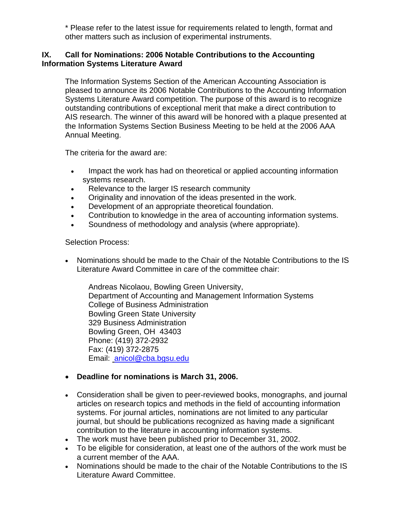\* Please refer to the latest issue for requirements related to length, format and other matters such as inclusion of experimental instruments.

# <span id="page-6-0"></span>**IX. Call for Nominations: 2006 Notable Contributions to the Accounting Information Systems Literature Award**

The Information Systems Section of the American Accounting Association is pleased to announce its 2006 Notable Contributions to the Accounting Information Systems Literature Award competition. The purpose of this award is to recognize outstanding contributions of exceptional merit that make a direct contribution to AIS research. The winner of this award will be honored with a plaque presented at the Information Systems Section Business Meeting to be held at the 2006 AAA Annual Meeting.

The criteria for the award are:

- Impact the work has had on theoretical or applied accounting information systems research.
- Relevance to the larger IS research community
- Originality and innovation of the ideas presented in the work.
- Development of an appropriate theoretical foundation.
- Contribution to knowledge in the area of accounting information systems.
- Soundness of methodology and analysis (where appropriate).

Selection Process:

• Nominations should be made to the Chair of the Notable Contributions to the IS Literature Award Committee in care of the committee chair:

Andreas Nicolaou, Bowling Green University, Department of Accounting and Management Information Systems College of Business Administration Bowling Green State University 329 Business Administration Bowling Green, OH 43403 Phone: (419) 372-2932 Fax: (419) 372-2875 Email: [anicol@cba.bgsu.edu](mailto:eighmeje@muohio.edu)

# • **Deadline for nominations is March 31, 2006.**

- Consideration shall be given to peer-reviewed books, monographs, and journal articles on research topics and methods in the field of accounting information systems. For journal articles, nominations are not limited to any particular journal, but should be publications recognized as having made a significant contribution to the literature in accounting information systems.
- The work must have been published prior to December 31, 2002.
- To be eligible for consideration, at least one of the authors of the work must be a current member of the AAA.
- Nominations should be made to the chair of the Notable Contributions to the IS Literature Award Committee.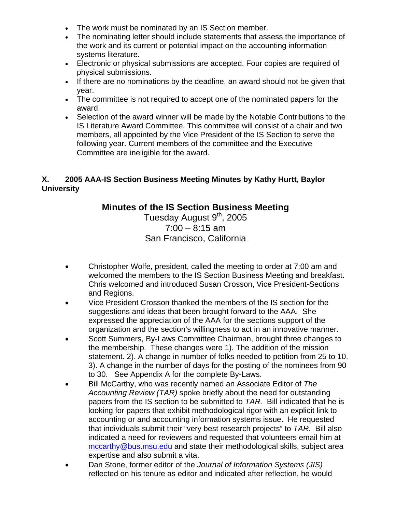- The work must be nominated by an IS Section member.
- The nominating letter should include statements that assess the importance of the work and its current or potential impact on the accounting information systems literature.
- Electronic or physical submissions are accepted. Four copies are required of physical submissions.
- If there are no nominations by the deadline, an award should not be given that year.
- The committee is not required to accept one of the nominated papers for the award.
- Selection of the award winner will be made by the Notable Contributions to the IS Literature Award Committee. This committee will consist of a chair and two members, all appointed by the Vice President of the IS Section to serve the following year. Current members of the committee and the Executive Committee are ineligible for the award.

# **X. 2005 AAA-IS Section Business Meeting Minutes by Kathy Hurtt, Baylor University**

# **Minutes of the IS Section Business Meeting**

Tuesday August 9<sup>th</sup>, 2005  $7:00 - 8:15$  am San Francisco, California

- Christopher Wolfe, president, called the meeting to order at 7:00 am and welcomed the members to the IS Section Business Meeting and breakfast. Chris welcomed and introduced Susan Crosson, Vice President-Sections and Regions.
- Vice President Crosson thanked the members of the IS section for the suggestions and ideas that been brought forward to the AAA. She expressed the appreciation of the AAA for the sections support of the organization and the section's willingness to act in an innovative manner.
- Scott Summers, By-Laws Committee Chairman, brought three changes to the membership. These changes were 1). The addition of the mission statement. 2). A change in number of folks needed to petition from 25 to 10. 3). A change in the number of days for the posting of the nominees from 90 to 30. See Appendix A for the complete By-Laws.
- Bill McCarthy, who was recently named an Associate Editor of *The Accounting Review (TAR)* spoke briefly about the need for outstanding papers from the IS section to be submitted to *TAR.* Bill indicated that he is looking for papers that exhibit methodological rigor with an explicit link to accounting or and accounting information systems issue. He requested that individuals submit their "very best research projects" to *TAR.* Bill also indicated a need for reviewers and requested that volunteers email him at [mccarthy@bus.msu.edu](mailto:mccarthy@bus.msu.edu) and state their methodological skills, subject area expertise and also submit a vita.
- Dan Stone, former editor of the *Journal of Information Systems (JIS)*  reflected on his tenure as editor and indicated after reflection, he would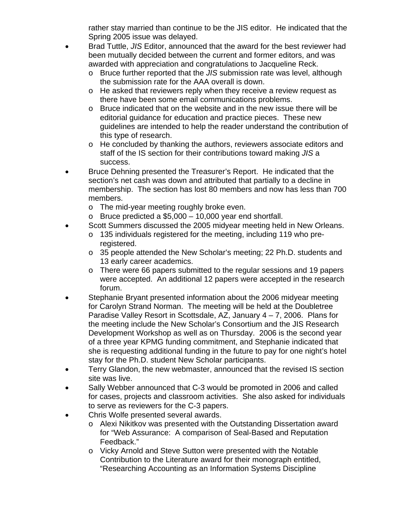rather stay married than continue to be the JIS editor. He indicated that the Spring 2005 issue was delayed.

- Brad Tuttle, *JIS* Editor, announced that the award for the best reviewer had been mutually decided between the current and former editors, and was awarded with appreciation and congratulations to Jacqueline Reck.
	- o Bruce further reported that the *JIS* submission rate was level, although the submission rate for the AAA overall is down.
	- o He asked that reviewers reply when they receive a review request as there have been some email communications problems.
	- o Bruce indicated that on the website and in the new issue there will be editorial guidance for education and practice pieces. These new guidelines are intended to help the reader understand the contribution of this type of research.
	- o He concluded by thanking the authors, reviewers associate editors and staff of the IS section for their contributions toward making *JIS* a success.
- Bruce Dehning presented the Treasurer's Report. He indicated that the section's net cash was down and attributed that partially to a decline in membership. The section has lost 80 members and now has less than 700 members.
	- o The mid-year meeting roughly broke even.
	- $\circ$  Bruce predicted a \$5,000 10,000 year end shortfall.
- Scott Summers discussed the 2005 midyear meeting held in New Orleans.
	- o 135 individuals registered for the meeting, including 119 who preregistered.
	- o 35 people attended the New Scholar's meeting; 22 Ph.D. students and 13 early career academics.
	- o There were 66 papers submitted to the regular sessions and 19 papers were accepted. An additional 12 papers were accepted in the research forum.
- Stephanie Bryant presented information about the 2006 midyear meeting for Carolyn Strand Norman. The meeting will be held at the Doubletree Paradise Valley Resort in Scottsdale, AZ, January 4 – 7, 2006. Plans for the meeting include the New Scholar's Consortium and the JIS Research Development Workshop as well as on Thursday. 2006 is the second year of a three year KPMG funding commitment, and Stephanie indicated that she is requesting additional funding in the future to pay for one night's hotel stay for the Ph.D. student New Scholar participants.
- Terry Glandon, the new webmaster, announced that the revised IS section site was live.
- Sally Webber announced that C-3 would be promoted in 2006 and called for cases, projects and classroom activities. She also asked for individuals to serve as reviewers for the C-3 papers.
- Chris Wolfe presented several awards.
	- o Alexi Nikitkov was presented with the Outstanding Dissertation award for "Web Assurance: A comparison of Seal-Based and Reputation Feedback."
	- o Vicky Arnold and Steve Sutton were presented with the Notable Contribution to the Literature award for their monograph entitled, "Researching Accounting as an Information Systems Discipline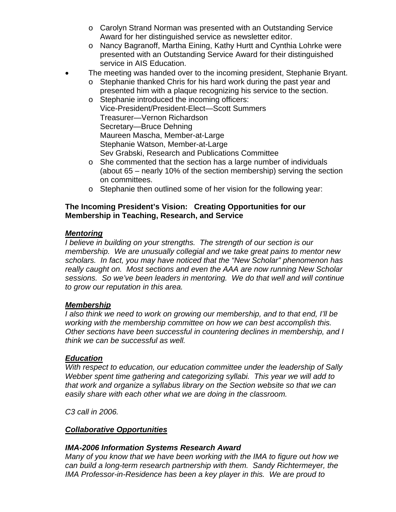- o Carolyn Strand Norman was presented with an Outstanding Service Award for her distinguished service as newsletter editor.
- o Nancy Bagranoff, Martha Eining, Kathy Hurtt and Cynthia Lohrke were presented with an Outstanding Service Award for their distinguished service in AIS Education.
- The meeting was handed over to the incoming president, Stephanie Bryant.
	- o Stephanie thanked Chris for his hard work during the past year and presented him with a plaque recognizing his service to the section.
	- o Stephanie introduced the incoming officers: Vice-President/President-Elect—Scott Summers Treasurer—Vernon Richardson Secretary—Bruce Dehning Maureen Mascha, Member-at-Large Stephanie Watson, Member-at-Large Sev Grabski, Research and Publications Committee
	- o She commented that the section has a large number of individuals (about 65 – nearly 10% of the section membership) serving the section on committees.
	- o Stephanie then outlined some of her vision for the following year:

# **The Incoming President's Vision: Creating Opportunities for our Membership in Teaching, Research, and Service**

# *Mentoring*

*I believe in building on your strengths. The strength of our section is our membership. We are unusually collegial and we take great pains to mentor new scholars. In fact, you may have noticed that the "New Scholar" phenomenon has really caught on. Most sections and even the AAA are now running New Scholar sessions. So we've been leaders in mentoring. We do that well and will continue to grow our reputation in this area.* 

#### *Membership*

*I also think we need to work on growing our membership, and to that end, I'll be working with the membership committee on how we can best accomplish this. Other sections have been successful in countering declines in membership, and I think we can be successful as well.* 

#### *Education*

*With respect to education, our education committee under the leadership of Sally Webber spent time gathering and categorizing syllabi. This year we will add to that work and organize a syllabus library on the Section website so that we can easily share with each other what we are doing in the classroom.* 

*C3 call in 2006.* 

# *Collaborative Opportunities*

# *IMA-2006 Information Systems Research Award*

*Many of you know that we have been working with the IMA to figure out how we can build a long-term research partnership with them. Sandy Richtermeyer, the IMA Professor-in-Residence has been a key player in this. We are proud to*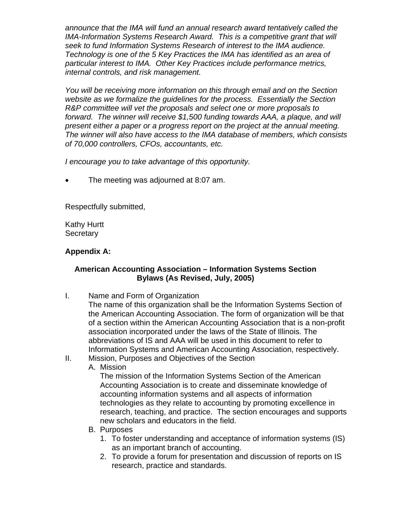*announce that the IMA will fund an annual research award tentatively called the*  **IMA-Information Systems Research Award. This is a competitive grant that will** *seek to fund Information Systems Research of interest to the IMA audience. Technology is one of the 5 Key Practices the IMA has identified as an area of particular interest to IMA. Other Key Practices include performance metrics, internal controls, and risk management.* 

*You will be receiving more information on this through email and on the Section website as we formalize the guidelines for the process. Essentially the Section R&P committee will vet the proposals and select one or more proposals to forward. The winner will receive \$1,500 funding towards AAA, a plaque, and will present either a paper or a progress report on the project at the annual meeting. The winner will also have access to the IMA database of members, which consists of 70,000 controllers, CFOs, accountants, etc.* 

*I encourage you to take advantage of this opportunity.* 

• The meeting was adjourned at 8:07 am.

Respectfully submitted,

Kathy Hurtt **Secretary** 

# **Appendix A:**

# **American Accounting Association – Information Systems Section Bylaws (As Revised, July, 2005)**

I. Name and Form of Organization

The name of this organization shall be the Information Systems Section of the American Accounting Association. The form of organization will be that of a section within the American Accounting Association that is a non-profit association incorporated under the laws of the State of Illinois. The abbreviations of IS and AAA will be used in this document to refer to Information Systems and American Accounting Association, respectively.

- II. Mission, Purposes and Objectives of the Section
	- A. Mission

The mission of the Information Systems Section of the American Accounting Association is to create and disseminate knowledge of accounting information systems and all aspects of information technologies as they relate to accounting by promoting excellence in research, teaching, and practice. The section encourages and supports new scholars and educators in the field.

- B. Purposes
	- 1. To foster understanding and acceptance of information systems (IS) as an important branch of accounting.
	- 2. To provide a forum for presentation and discussion of reports on IS research, practice and standards.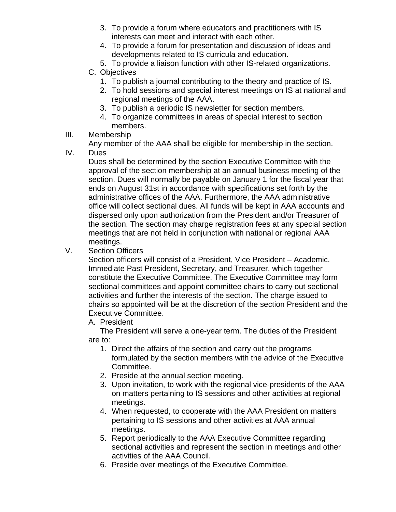- 3. To provide a forum where educators and practitioners with IS interests can meet and interact with each other.
- 4. To provide a forum for presentation and discussion of ideas and developments related to IS curricula and education.
- 5. To provide a liaison function with other IS-related organizations.
- C. Objectives
	- 1. To publish a journal contributing to the theory and practice of IS.
	- 2. To hold sessions and special interest meetings on IS at national and regional meetings of the AAA.
	- 3. To publish a periodic IS newsletter for section members.
	- 4. To organize committees in areas of special interest to section members.
- III. Membership

Any member of the AAA shall be eligible for membership in the section.

IV. Dues

Dues shall be determined by the section Executive Committee with the approval of the section membership at an annual business meeting of the section. Dues will normally be payable on January 1 for the fiscal year that ends on August 31st in accordance with specifications set forth by the administrative offices of the AAA. Furthermore, the AAA administrative office will collect sectional dues. All funds will be kept in AAA accounts and dispersed only upon authorization from the President and/or Treasurer of the section. The section may charge registration fees at any special section meetings that are not held in conjunction with national or regional AAA meetings.

V. Section Officers

Section officers will consist of a President, Vice President – Academic, Immediate Past President, Secretary, and Treasurer, which together constitute the Executive Committee. The Executive Committee may form sectional committees and appoint committee chairs to carry out sectional activities and further the interests of the section. The charge issued to chairs so appointed will be at the discretion of the section President and the Executive Committee.

A. President

The President will serve a one-year term. The duties of the President are to:

- 1. Direct the affairs of the section and carry out the programs formulated by the section members with the advice of the Executive Committee.
- 2. Preside at the annual section meeting.
- 3. Upon invitation, to work with the regional vice-presidents of the AAA on matters pertaining to IS sessions and other activities at regional meetings.
- 4. When requested, to cooperate with the AAA President on matters pertaining to IS sessions and other activities at AAA annual meetings.
- 5. Report periodically to the AAA Executive Committee regarding sectional activities and represent the section in meetings and other activities of the AAA Council.
- 6. Preside over meetings of the Executive Committee.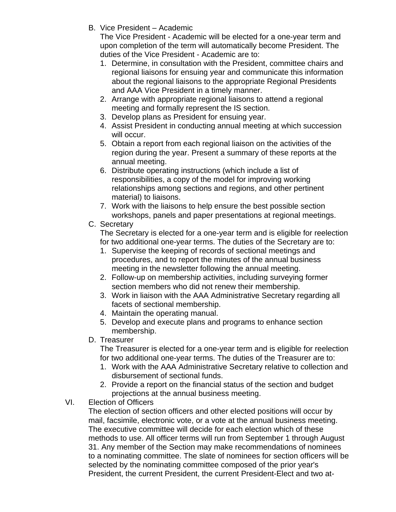B. Vice President – Academic

The Vice President - Academic will be elected for a one-year term and upon completion of the term will automatically become President. The duties of the Vice President - Academic are to:

- 1. Determine, in consultation with the President, committee chairs and regional liaisons for ensuing year and communicate this information about the regional liaisons to the appropriate Regional Presidents and AAA Vice President in a timely manner.
- 2. Arrange with appropriate regional liaisons to attend a regional meeting and formally represent the IS section.
- 3. Develop plans as President for ensuing year.
- 4. Assist President in conducting annual meeting at which succession will occur.
- 5. Obtain a report from each regional liaison on the activities of the region during the year. Present a summary of these reports at the annual meeting.
- 6. Distribute operating instructions (which include a list of responsibilities, a copy of the model for improving working relationships among sections and regions, and other pertinent material) to liaisons.
- 7. Work with the liaisons to help ensure the best possible section workshops, panels and paper presentations at regional meetings.
- C. Secretary

The Secretary is elected for a one-year term and is eligible for reelection for two additional one-year terms. The duties of the Secretary are to:

- 1. Supervise the keeping of records of sectional meetings and procedures, and to report the minutes of the annual business meeting in the newsletter following the annual meeting.
- 2. Follow-up on membership activities, including surveying former section members who did not renew their membership.
- 3. Work in liaison with the AAA Administrative Secretary regarding all facets of sectional membership.
- 4. Maintain the operating manual.
- 5. Develop and execute plans and programs to enhance section membership.
- D. Treasurer

The Treasurer is elected for a one-year term and is eligible for reelection for two additional one-year terms. The duties of the Treasurer are to:

- 1. Work with the AAA Administrative Secretary relative to collection and disbursement of sectional funds.
- 2. Provide a report on the financial status of the section and budget projections at the annual business meeting.
- VI. Election of Officers

The election of section officers and other elected positions will occur by mail, facsimile, electronic vote, or a vote at the annual business meeting. The executive committee will decide for each election which of these methods to use. All officer terms will run from September 1 through August 31. Any member of the Section may make recommendations of nominees to a nominating committee. The slate of nominees for section officers will be selected by the nominating committee composed of the prior year's President, the current President, the current President-Elect and two at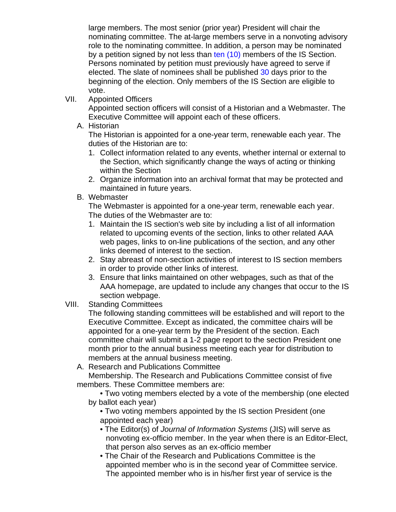large members. The most senior (prior year) President will chair the nominating committee. The at-large members serve in a nonvoting advisory role to the nominating committee. In addition, a person may be nominated by a petition signed by not less than ten (10) members of the IS Section. Persons nominated by petition must previously have agreed to serve if elected. The slate of nominees shall be published 30 days prior to the beginning of the election. Only members of the IS Section are eligible to vote.

VII. Appointed Officers

Appointed section officers will consist of a Historian and a Webmaster. The Executive Committee will appoint each of these officers.

A. Historian

The Historian is appointed for a one-year term, renewable each year. The duties of the Historian are to:

- 1. Collect information related to any events, whether internal or external to the Section, which significantly change the ways of acting or thinking within the Section
- 2. Organize information into an archival format that may be protected and maintained in future years.
- B. Webmaster

The Webmaster is appointed for a one-year term, renewable each year. The duties of the Webmaster are to:

- 1. Maintain the IS section's web site by including a list of all information related to upcoming events of the section, links to other related AAA web pages, links to on-line publications of the section, and any other links deemed of interest to the section.
- 2. Stay abreast of non-section activities of interest to IS section members in order to provide other links of interest.
- 3. Ensure that links maintained on other webpages, such as that of the AAA homepage, are updated to include any changes that occur to the IS section webpage.
- VIII. Standing Committees

The following standing committees will be established and will report to the Executive Committee. Except as indicated, the committee chairs will be appointed for a one-year term by the President of the section. Each committee chair will submit a 1-2 page report to the section President one month prior to the annual business meeting each year for distribution to members at the annual business meeting.

A. Research and Publications Committee

Membership. The Research and Publications Committee consist of five members. These Committee members are:

• Two voting members elected by a vote of the membership (one elected by ballot each year)

- Two voting members appointed by the IS section President (one appointed each year)
- The Editor(s) of *Journal of Information Systems* (JIS) will serve as nonvoting ex-officio member. In the year when there is an Editor-Elect, that person also serves as an ex-officio member
- The Chair of the Research and Publications Committee is the appointed member who is in the second year of Committee service. The appointed member who is in his/her first year of service is the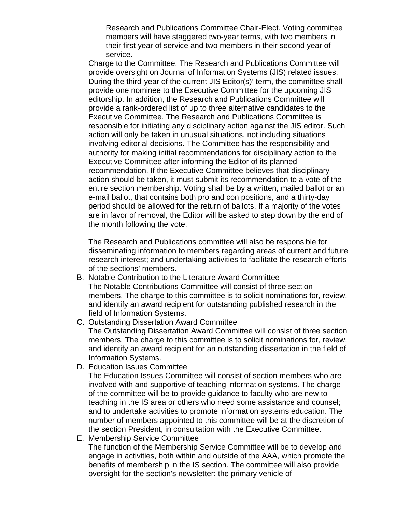Research and Publications Committee Chair-Elect. Voting committee members will have staggered two-year terms, with two members in their first year of service and two members in their second year of service.

Charge to the Committee. The Research and Publications Committee will provide oversight on Journal of Information Systems (JIS) related issues. During the third-year of the current JIS Editor(s)' term, the committee shall provide one nominee to the Executive Committee for the upcoming JIS editorship. In addition, the Research and Publications Committee will provide a rank-ordered list of up to three alternative candidates to the Executive Committee. The Research and Publications Committee is responsible for initiating any disciplinary action against the JIS editor. Such action will only be taken in unusual situations, not including situations involving editorial decisions. The Committee has the responsibility and authority for making initial recommendations for disciplinary action to the Executive Committee after informing the Editor of its planned recommendation. If the Executive Committee believes that disciplinary action should be taken, it must submit its recommendation to a vote of the entire section membership. Voting shall be by a written, mailed ballot or an e-mail ballot, that contains both pro and con positions, and a thirty-day period should be allowed for the return of ballots. If a majority of the votes are in favor of removal, the Editor will be asked to step down by the end of the month following the vote.

The Research and Publications committee will also be responsible for disseminating information to members regarding areas of current and future research interest; and undertaking activities to facilitate the research efforts of the sections' members.

- B. Notable Contribution to the Literature Award Committee The Notable Contributions Committee will consist of three section members. The charge to this committee is to solicit nominations for, review, and identify an award recipient for outstanding published research in the field of Information Systems.
- C. Outstanding Dissertation Award Committee The Outstanding Dissertation Award Committee will consist of three section members. The charge to this committee is to solicit nominations for, review, and identify an award recipient for an outstanding dissertation in the field of Information Systems.
- D. Education Issues Committee
	- The Education Issues Committee will consist of section members who are involved with and supportive of teaching information systems. The charge of the committee will be to provide guidance to faculty who are new to teaching in the IS area or others who need some assistance and counsel; and to undertake activities to promote information systems education. The number of members appointed to this committee will be at the discretion of the section President, in consultation with the Executive Committee.
- E. Membership Service Committee

The function of the Membership Service Committee will be to develop and engage in activities, both within and outside of the AAA, which promote the benefits of membership in the IS section. The committee will also provide oversight for the section's newsletter; the primary vehicle of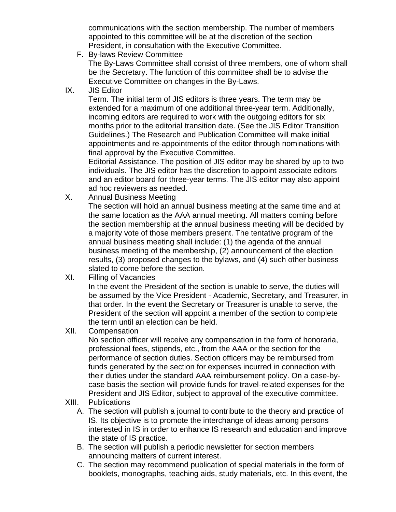communications with the section membership. The number of members appointed to this committee will be at the discretion of the section President, in consultation with the Executive Committee.

F. By-laws Review Committee

The By-Laws Committee shall consist of three members, one of whom shall be the Secretary. The function of this committee shall be to advise the Executive Committee on changes in the By-Laws.

IX. JIS Editor

Term. The initial term of JIS editors is three years. The term may be extended for a maximum of one additional three-year term. Additionally, incoming editors are required to work with the outgoing editors for six months prior to the editorial transition date. (See the JIS Editor Transition Guidelines.) The Research and Publication Committee will make initial appointments and re-appointments of the editor through nominations with final approval by the Executive Committee.

Editorial Assistance. The position of JIS editor may be shared by up to two individuals. The JIS editor has the discretion to appoint associate editors and an editor board for three-year terms. The JIS editor may also appoint ad hoc reviewers as needed.

X. Annual Business Meeting

The section will hold an annual business meeting at the same time and at the same location as the AAA annual meeting. All matters coming before the section membership at the annual business meeting will be decided by a majority vote of those members present. The tentative program of the annual business meeting shall include: (1) the agenda of the annual business meeting of the membership, (2) announcement of the election results, (3) proposed changes to the bylaws, and (4) such other business slated to come before the section.

XI. Filling of Vacancies

In the event the President of the section is unable to serve, the duties will be assumed by the Vice President - Academic, Secretary, and Treasurer, in that order. In the event the Secretary or Treasurer is unable to serve, the President of the section will appoint a member of the section to complete the term until an election can be held.

XII. Compensation

No section officer will receive any compensation in the form of honoraria, professional fees, stipends, etc., from the AAA or the section for the performance of section duties. Section officers may be reimbursed from funds generated by the section for expenses incurred in connection with their duties under the standard AAA reimbursement policy. On a case-bycase basis the section will provide funds for travel-related expenses for the President and JIS Editor, subject to approval of the executive committee.

- XIII. Publications
	- A. The section will publish a journal to contribute to the theory and practice of IS. Its objective is to promote the interchange of ideas among persons interested in IS in order to enhance IS research and education and improve the state of IS practice.
	- B. The section will publish a periodic newsletter for section members announcing matters of current interest.
	- C. The section may recommend publication of special materials in the form of booklets, monographs, teaching aids, study materials, etc. In this event, the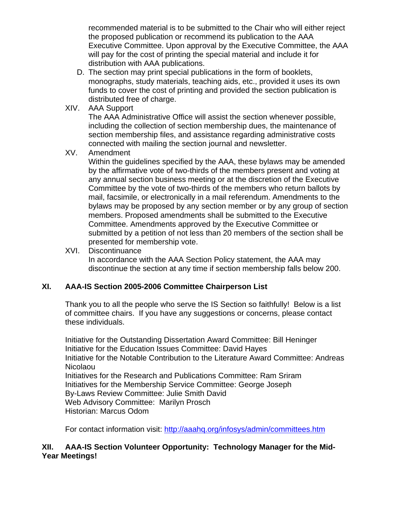<span id="page-16-0"></span>recommended material is to be submitted to the Chair who will either reject the proposed publication or recommend its publication to the AAA Executive Committee. Upon approval by the Executive Committee, the AAA will pay for the cost of printing the special material and include it for distribution with AAA publications.

- D. The section may print special publications in the form of booklets, monographs, study materials, teaching aids, etc., provided it uses its own funds to cover the cost of printing and provided the section publication is distributed free of charge.
- XIV. AAA Support

The AAA Administrative Office will assist the section whenever possible, including the collection of section membership dues, the maintenance of section membership files, and assistance regarding administrative costs connected with mailing the section journal and newsletter.

# XV. Amendment

Within the guidelines specified by the AAA, these bylaws may be amended by the affirmative vote of two-thirds of the members present and voting at any annual section business meeting or at the discretion of the Executive Committee by the vote of two-thirds of the members who return ballots by mail, facsimile, or electronically in a mail referendum. Amendments to the bylaws may be proposed by any section member or by any group of section members. Proposed amendments shall be submitted to the Executive Committee. Amendments approved by the Executive Committee or submitted by a petition of not less than 20 members of the section shall be presented for membership vote.

# XVI. Discontinuance

In accordance with the AAA Section Policy statement, the AAA may discontinue the section at any time if section membership falls below 200.

# **XI. AAA-IS Section 2005-2006 Committee Chairperson List**

Thank you to all the people who serve the IS Section so faithfully! Below is a list of committee chairs. If you have any suggestions or concerns, please contact these individuals.

Initiative for the Outstanding Dissertation Award Committee: Bill Heninger Initiative for the Education Issues Committee: David Hayes Initiative for the Notable Contribution to the Literature Award Committee: Andreas Nicolaou Initiatives for the Research and Publications Committee: Ram Sriram Initiatives for the Membership Service Committee: George Joseph By-Laws Review Committee: Julie Smith David Web Advisory Committee: Marilyn Prosch Historian: Marcus Odom

For contact information visit:<http://aaahq.org/infosys/admin/committees.htm>

# **XII. AAA-IS Section Volunteer Opportunity: Technology Manager for the Mid-Year Meetings!**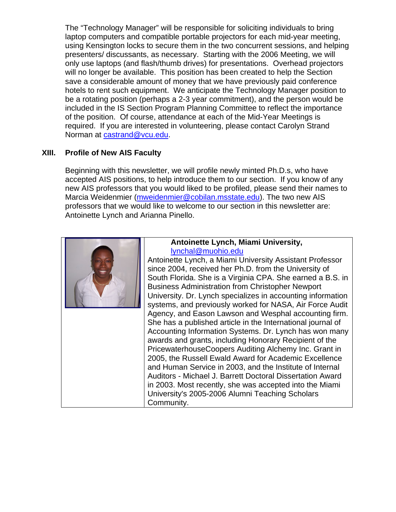<span id="page-17-0"></span>The "Technology Manager" will be responsible for soliciting individuals to bring laptop computers and compatible portable projectors for each mid-year meeting, using Kensington locks to secure them in the two concurrent sessions, and helping presenters/ discussants, as necessary. Starting with the 2006 Meeting, we will only use laptops (and flash/thumb drives) for presentations. Overhead projectors will no longer be available. This position has been created to help the Section save a considerable amount of money that we have previously paid conference hotels to rent such equipment. We anticipate the Technology Manager position to be a rotating position (perhaps a 2-3 year commitment), and the person would be included in the IS Section Program Planning Committee to reflect the importance of the position. Of course, attendance at each of the Mid-Year Meetings is required. If you are interested in volunteering, please contact Carolyn Strand Norman at [castrand@vcu.edu](mailto:castrand@vcu.edu).

# **XIII. Profile of New AIS Faculty**

Beginning with this newsletter, we will profile newly minted Ph.D.s, who have accepted AIS positions, to help introduce them to our section. If you know of any new AIS professors that you would liked to be profiled, please send their names to Marcia Weidenmier ([mweidenmier@cobilan.msstate.edu\)](mailto:mweidenmier@cobilan.msstate.edu). The two new AIS professors that we would like to welcome to our section in this newsletter are: Antoinette Lynch and Arianna Pinello.

#### **Antoinette Lynch, Miami University,**  [lynchal@muohio.edu](mailto:lynchal@muohio.edu)

Antoinette Lynch, a Miami University Assistant Professor since 2004, received her Ph.D. from the University of South Florida. She is a Virginia CPA. She earned a B.S. in Business Administration from Christopher Newport University. Dr. Lynch specializes in accounting information systems, and previously worked for NASA, Air Force Audit Agency, and Eason Lawson and Wesphal accounting firm. She has a published article in the International journal of Accounting Information Systems. Dr. Lynch has won many awards and grants, including Honorary Recipient of the PricewaterhouseCoopers Auditing Alchemy Inc. Grant in 2005, the Russell Ewald Award for Academic Excellence and Human Service in 2003, and the Institute of Internal Auditors - Michael J. Barrett Doctoral Dissertation Award in 2003. Most recently, she was accepted into the Miami University's 2005-2006 Alumni Teaching Scholars Community.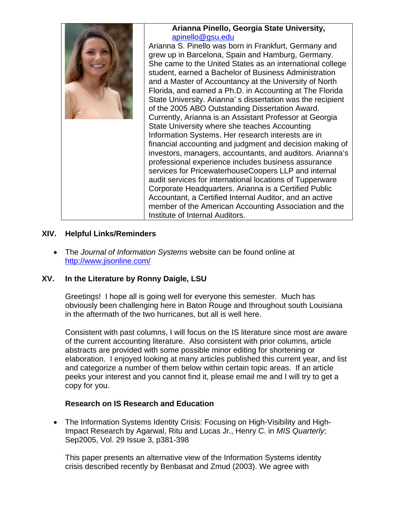<span id="page-18-0"></span>

# **XIV. Helpful Links/Reminders**

• The *Journal of Information Systems* website can be found online at <http://www.jisonline.com/>

# **XV. In the Literature by Ronny Daigle, LSU**

Greetings! I hope all is going well for everyone this semester. Much has obviously been challenging here in Baton Rouge and throughout south Louisiana in the aftermath of the two hurricanes, but all is well here.

Consistent with past columns, I will focus on the IS literature since most are aware of the current accounting literature. Also consistent with prior columns, article abstracts are provided with some possible minor editing for shortening or elaboration. I enjoyed looking at many articles published this current year, and list and categorize a number of them below within certain topic areas. If an article peeks your interest and you cannot find it, please email me and I will try to get a copy for you.

# **Research on IS Research and Education**

• The Information Systems Identity Crisis: Focusing on High-Visibility and High-Impact Research by Agarwal, Ritu and Lucas Jr., Henry C. in *MIS Quarterly*; Sep2005, Vol. 29 Issue 3, p381-398

This paper presents an alternative view of the Information Systems identity crisis described recently by Benbasat and Zmud (2003). We agree with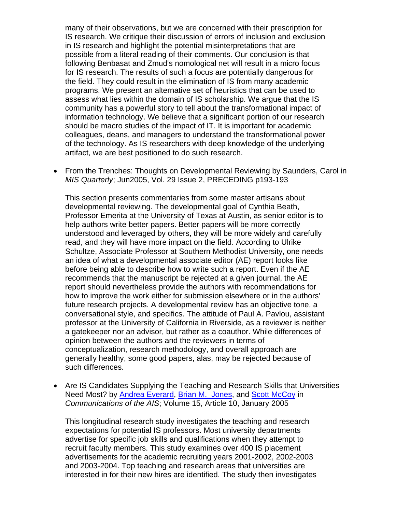many of their observations, but we are concerned with their prescription for IS research. We critique their discussion of errors of inclusion and exclusion in IS research and highlight the potential misinterpretations that are possible from a literal reading of their comments. Our conclusion is that following Benbasat and Zmud's nomological net will result in a micro focus for IS research. The results of such a focus are potentially dangerous for the field. They could result in the elimination of IS from many academic programs. We present an alternative set of heuristics that can be used to assess what lies within the domain of IS scholarship. We argue that the IS community has a powerful story to tell about the transformational impact of information technology. We believe that a significant portion of our research should be macro studies of the impact of IT. It is important for academic colleagues, deans, and managers to understand the transformational power of the technology. As IS researchers with deep knowledge of the underlying artifact, we are best positioned to do such research.

• From the Trenches: Thoughts on Developmental Reviewing by Saunders, Carol in *MIS Quarterly*; Jun2005, Vol. 29 Issue 2, PRECEDING p193-193

This section presents commentaries from some master artisans about developmental reviewing. The developmental goal of Cynthia Beath, Professor Emerita at the University of Texas at Austin, as senior editor is to help authors write better papers. Better papers will be more correctly understood and leveraged by others, they will be more widely and carefully read, and they will have more impact on the field. According to Ulrike Schultze, Associate Professor at Southern Methodist University, one needs an idea of what a developmental associate editor (AE) report looks like before being able to describe how to write such a report. Even if the AE recommends that the manuscript be rejected at a given journal, the AE report should nevertheless provide the authors with recommendations for how to improve the work either for submission elsewhere or in the authors' future research projects. A developmental review has an objective tone, a conversational style, and specifics. The attitude of Paul A. Pavlou, assistant professor at the University of California in Riverside, as a reviewer is neither a gatekeeper nor an advisor, but rather as a coauthor. While differences of opinion between the authors and the reviewers in terms of conceptualization, research methodology, and overall approach are generally healthy, some good papers, alas, may be rejected because of such differences.

• Are IS Candidates Supplying the Teaching and Research Skills that Universities Need Most? by [Andrea Everard,](http://cais.aisnet.org/authors.asp?auth=759) [Brian M. Jones,](http://cais.aisnet.org/authors.asp?auth=760) and [Scott McCoy](http://cais.aisnet.org/authors.asp?auth=661) in *Communications of the AIS*; Volume 15, Article 10, January 2005

This longitudinal research study investigates the teaching and research expectations for potential IS professors. Most university departments advertise for specific job skills and qualifications when they attempt to recruit faculty members. This study examines over 400 IS placement advertisements for the academic recruiting years 2001-2002, 2002-2003 and 2003-2004. Top teaching and research areas that universities are interested in for their new hires are identified. The study then investigates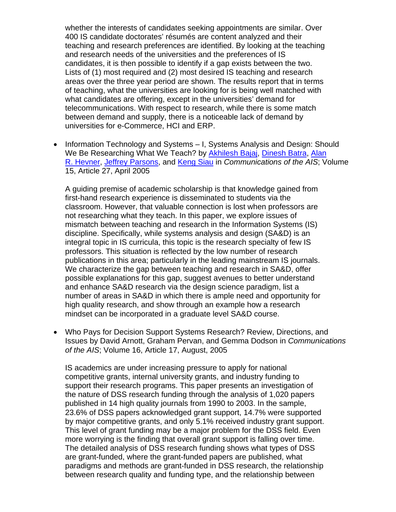whether the interests of candidates seeking appointments are similar. Over 400 IS candidate doctorates' résumés are content analyzed and their teaching and research preferences are identified. By looking at the teaching and research needs of the universities and the preferences of IS candidates, it is then possible to identify if a gap exists between the two. Lists of (1) most required and (2) most desired IS teaching and research areas over the three year period are shown. The results report that in terms of teaching, what the universities are looking for is being well matched with what candidates are offering, except in the universities' demand for telecommunications. With respect to research, while there is some match between demand and supply, there is a noticeable lack of demand by universities for e-Commerce, HCI and ERP.

• Information Technology and Systems – I, Systems Analysis and Design: Should We Be Researching What We Teach? by [Akhilesh Bajaj](http://cais.aisnet.org/authors.asp?auth=786), [Dinesh Batra](http://cais.aisnet.org/authors.asp?auth=787), [Alan](http://cais.aisnet.org/authors.asp?auth=627)  [R. Hevner,](http://cais.aisnet.org/authors.asp?auth=627) [Jeffrey Parsons,](http://cais.aisnet.org/authors.asp?auth=788) and [Keng Siau](http://cais.aisnet.org/authors.asp?auth=425) in *Communications of the AIS*; Volume 15, Article 27, April 2005

A guiding premise of academic scholarship is that knowledge gained from first-hand research experience is disseminated to students via the classroom. However, that valuable connection is lost when professors are not researching what they teach. In this paper, we explore issues of mismatch between teaching and research in the Information Systems (IS) discipline. Specifically, while systems analysis and design (SA&D) is an integral topic in IS curricula, this topic is the research specialty of few IS professors. This situation is reflected by the low number of research publications in this area; particularly in the leading mainstream IS journals. We characterize the gap between teaching and research in SA&D, offer possible explanations for this gap, suggest avenues to better understand and enhance SA&D research via the design science paradigm, list a number of areas in SA&D in which there is ample need and opportunity for high quality research, and show through an example how a research mindset can be incorporated in a graduate level SA&D course.

• [Who Pays for Decision Support Systems Research? Review, Directions, and](http://cais.aisnet.org/articles/default.asp?vol=16&art=17)  [Issues](http://cais.aisnet.org/articles/default.asp?vol=16&art=17) by [David Arnott,](http://cais.aisnet.org/authors.asp?auth=838) [Graham Pervan](http://cais.aisnet.org/authors.asp?auth=839), and [Gemma Dodson](http://cais.aisnet.org/authors.asp?auth=840) in *Communications of the AIS*; Volume 16, Article 17, August, 2005

IS academics are under increasing pressure to apply for national competitive grants, internal university grants, and industry funding to support their research programs. This paper presents an investigation of the nature of DSS research funding through the analysis of 1,020 papers published in 14 high quality journals from 1990 to 2003. In the sample, 23.6% of DSS papers acknowledged grant support, 14.7% were supported by major competitive grants, and only 5.1% received industry grant support. This level of grant funding may be a major problem for the DSS field. Even more worrying is the finding that overall grant support is falling over time. The detailed analysis of DSS research funding shows what types of DSS are grant-funded, where the grant-funded papers are published, what paradigms and methods are grant-funded in DSS research, the relationship between research quality and funding type, and the relationship between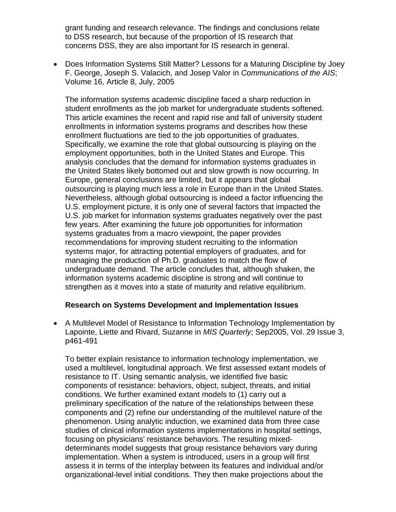<span id="page-21-0"></span>grant funding and research relevance. The findings and conclusions relate to DSS research, but because of the proportion of IS research that concerns DSS, they are also important for IS research in general.

• [Does Information Systems Still Matter? Lessons for a Maturing Discipline](http://cais.aisnet.org/articles/default.asp?vol=16&art=8) by [Joey](http://cais.aisnet.org/authors.asp?auth=821)  [F. George,](http://cais.aisnet.org/authors.asp?auth=821) [Joseph S. Valacich](http://cais.aisnet.org/authors.asp?auth=316), and [Josep Valor](http://cais.aisnet.org/authors.asp?auth=822) in *Communications of the AIS*; Volume 16, Article 8, July, 2005

The information systems academic discipline faced a sharp reduction in student enrollments as the job market for undergraduate students softened. This article examines the recent and rapid rise and fall of university student enrollments in information systems programs and describes how these enrollment fluctuations are tied to the job opportunities of graduates. Specifically, we examine the role that global outsourcing is playing on the employment opportunities, both in the United States and Europe. This analysis concludes that the demand for information systems graduates in the United States likely bottomed out and slow growth is now occurring. In Europe, general conclusions are limited, but it appears that global outsourcing is playing much less a role in Europe than in the United States. Nevertheless, although global outsourcing is indeed a factor influencing the U.S. employment picture, it is only one of several factors that impacted the U.S. job market for information systems graduates negatively over the past few years. After examining the future job opportunities for information systems graduates from a macro viewpoint, the paper provides recommendations for improving student recruiting to the information systems major, for attracting potential employers of graduates, and for managing the production of Ph.D. graduates to match the flow of undergraduate demand. The article concludes that, although shaken, the information systems academic discipline is strong and will continue to strengthen as it moves into a state of maturity and relative equilibrium.

# **Research on Systems Development and Implementation Issues**

• A Multilevel Model of Resistance to Information Technology Implementation by Lapointe, Liette and Rivard, Suzanne in *MIS Quarterly*; Sep2005, Vol. 29 Issue 3, p461-491

To better explain resistance to information technology implementation, we used a multilevel, longitudinal approach. We first assessed extant models of resistance to IT. Using semantic analysis, we identified five basic components of resistance: behaviors, object, subject, threats, and initial conditions. We further examined extant models to (1) carry out a preliminary specification of the nature of the relationships between these components and (2) refine our understanding of the multilevel nature of the phenomenon. Using analytic induction, we examined data from three case studies of clinical information systems implementations in hospital settings, focusing on physicians' resistance behaviors. The resulting mixeddeterminants model suggests that group resistance behaviors vary during implementation. When a system is introduced, users in a group will first assess it in terms of the interplay between its features and individual and/or organizational-level initial conditions. They then make projections about the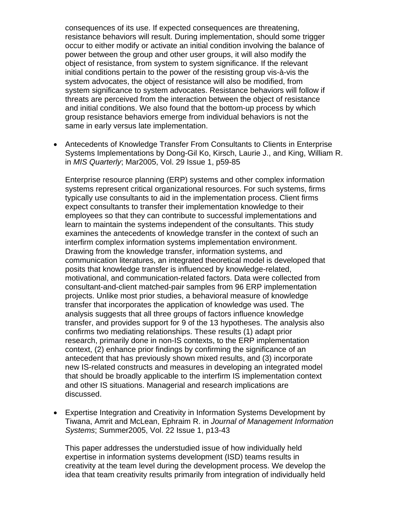consequences of its use. If expected consequences are threatening, resistance behaviors will result. During implementation, should some trigger occur to either modify or activate an initial condition involving the balance of power between the group and other user groups, it will also modify the object of resistance, from system to system significance. If the relevant initial conditions pertain to the power of the resisting group vis-à-vis the system advocates, the object of resistance will also be modified, from system significance to system advocates. Resistance behaviors will follow if threats are perceived from the interaction between the object of resistance and initial conditions. We also found that the bottom-up process by which group resistance behaviors emerge from individual behaviors is not the same in early versus late implementation.

• Antecedents of Knowledge Transfer From Consultants to Clients in Enterprise Systems Implementations by Dong-Gil Ko, Kirsch, Laurie J., and King, William R. in *MIS Quarterly*; Mar2005, Vol. 29 Issue 1, p59-85

Enterprise resource planning (ERP) systems and other complex information systems represent critical organizational resources. For such systems, firms typically use consultants to aid in the implementation process. Client firms expect consultants to transfer their implementation knowledge to their employees so that they can contribute to successful implementations and learn to maintain the systems independent of the consultants. This study examines the antecedents of knowledge transfer in the context of such an interfirm complex information systems implementation environment. Drawing from the knowledge transfer, information systems, and communication literatures, an integrated theoretical model is developed that posits that knowledge transfer is influenced by knowledge-related, motivational, and communication-related factors. Data were collected from consultant-and-client matched-pair samples from 96 ERP implementation projects. Unlike most prior studies, a behavioral measure of knowledge transfer that incorporates the application of knowledge was used. The analysis suggests that all three groups of factors influence knowledge transfer, and provides support for 9 of the 13 hypotheses. The analysis also confirms two mediating relationships. These results (1) adapt prior research, primarily done in non-IS contexts, to the ERP implementation context, (2) enhance prior findings by confirming the significance of an antecedent that has previously shown mixed results, and (3) incorporate new IS-related constructs and measures in developing an integrated model that should be broadly applicable to the interfirm IS implementation context and other IS situations. Managerial and research implications are discussed.

• Expertise Integration and Creativity in Information Systems Development by Tiwana, Amrit and McLean, Ephraim R. in *Journal of Management Information Systems*; Summer2005, Vol. 22 Issue 1, p13-43

This paper addresses the understudied issue of how individually held expertise in information systems development (ISD) teams results in creativity at the team level during the development process. We develop the idea that team creativity results primarily from integration of individually held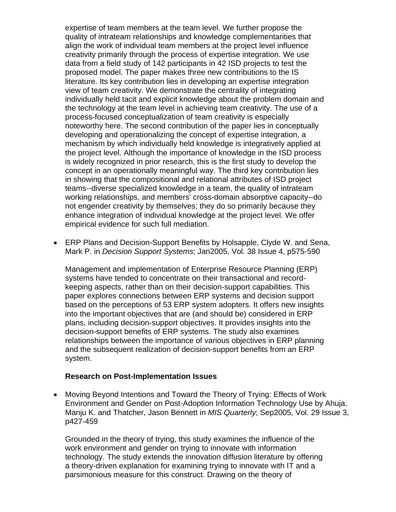<span id="page-23-0"></span>expertise of team members at the team level. We further propose the quality of intrateam relationships and knowledge complementarities that align the work of individual team members at the project level influence creativity primarily through the process of expertise integration. We use data from a field study of 142 participants in 42 ISD projects to test the proposed model. The paper makes three new contributions to the IS literature. Its key contribution lies in developing an expertise integration view of team creativity. We demonstrate the centrality of integrating individually held tacit and explicit knowledge about the problem domain and the technology at the team level in achieving team creativity. The use of a process-focused conceptualization of team creativity is especially noteworthy here. The second contribution of the paper lies in conceptually developing and operationalizing the concept of expertise integration, a mechanism by which individually held knowledge is integratively applied at the project level. Although the importance of knowledge in the ISD process is widely recognized in prior research, this is the first study to develop the concept in an operationally meaningful way. The third key contribution lies in showing that the compositional and relational attributes of ISD project teams--diverse specialized knowledge in a team, the quality of intrateam working relationships, and members' cross-domain absorptive capacity--do not engender creativity by themselves; they do so primarily because they enhance integration of individual knowledge at the project level. We offer empirical evidence for such full mediation.

• ERP Plans and Decision-Support Benefits by Holsapple, Clyde W. and Sena, Mark P. in *Decision Support Systems*; Jan2005, Vol. 38 Issue 4, p575-590

Management and implementation of Enterprise Resource Planning (ERP) systems have tended to concentrate on their transactional and recordkeeping aspects, rather than on their decision-support capabilities. This paper explores connections between ERP systems and decision support based on the perceptions of 53 ERP system adopters. It offers new insights into the important objectives that are (and should be) considered in ERP plans, including decision-support objectives. It provides insights into the decision-support benefits of ERP systems. The study also examines relationships between the importance of various objectives in ERP planning and the subsequent realization of decision-support benefits from an ERP system.

#### **Research on Post-Implementation Issues**

• Moving Beyond Intentions and Toward the Theory of Trying: Effects of Work Environment and Gender on Post-Adoption Information Technology Use by Ahuja, Manju K. and Thatcher, Jason Bennett in *MIS Quarterly*; Sep2005, Vol. 29 Issue 3, p427-459

Grounded in the theory of trying, this study examines the influence of the work environment and gender on trying to innovate with information technology. The study extends the innovation diffusion literature by offering a theory-driven explanation for examining trying to innovate with IT and a parsimonious measure for this construct. Drawing on the theory of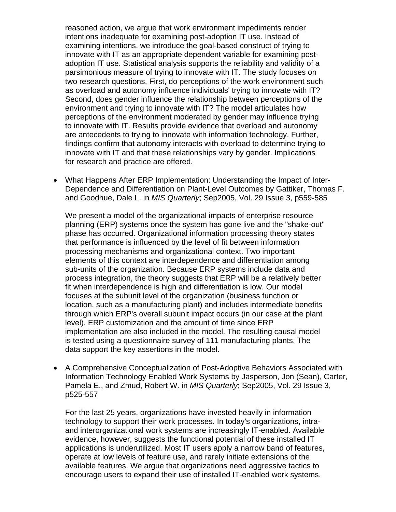reasoned action, we argue that work environment impediments render intentions inadequate for examining post-adoption IT use. Instead of examining intentions, we introduce the goal-based construct of trying to innovate with IT as an appropriate dependent variable for examining postadoption IT use. Statistical analysis supports the reliability and validity of a parsimonious measure of trying to innovate with IT. The study focuses on two research questions. First, do perceptions of the work environment such as overload and autonomy influence individuals' trying to innovate with IT? Second, does gender influence the relationship between perceptions of the environment and trying to innovate with IT? The model articulates how perceptions of the environment moderated by gender may influence trying to innovate with IT. Results provide evidence that overload and autonomy are antecedents to trying to innovate with information technology. Further, findings confirm that autonomy interacts with overload to determine trying to innovate with IT and that these relationships vary by gender. Implications for research and practice are offered.

• What Happens After ERP Implementation: Understanding the Impact of Inter-Dependence and Differentiation on Plant-Level Outcomes by Gattiker, Thomas F. and Goodhue, Dale L. in *MIS Quarterly*; Sep2005, Vol. 29 Issue 3, p559-585

We present a model of the organizational impacts of enterprise resource planning (ERP) systems once the system has gone live and the "shake-out" phase has occurred. Organizational information processing theory states that performance is influenced by the level of fit between information processing mechanisms and organizational context. Two important elements of this context are interdependence and differentiation among sub-units of the organization. Because ERP systems include data and process integration, the theory suggests that ERP will be a relatively better fit when interdependence is high and differentiation is low. Our model focuses at the subunit level of the organization (business function or location, such as a manufacturing plant) and includes intermediate benefits through which ERP's overall subunit impact occurs (in our case at the plant level). ERP customization and the amount of time since ERP implementation are also included in the model. The resulting causal model is tested using a questionnaire survey of 111 manufacturing plants. The data support the key assertions in the model.

• A Comprehensive Conceptualization of Post-Adoptive Behaviors Associated with Information Technology Enabled Work Systems by Jasperson, Jon (Sean), Carter, Pamela E., and Zmud, Robert W. in *MIS Quarterly*; Sep2005, Vol. 29 Issue 3, p525-557

For the last 25 years, organizations have invested heavily in information technology to support their work processes. In today's organizations, intraand interorganizational work systems are increasingly IT-enabled. Available evidence, however, suggests the functional potential of these installed IT applications is underutilized. Most IT users apply a narrow band of features, operate at low levels of feature use, and rarely initiate extensions of the available features. We argue that organizations need aggressive tactics to encourage users to expand their use of installed IT-enabled work systems.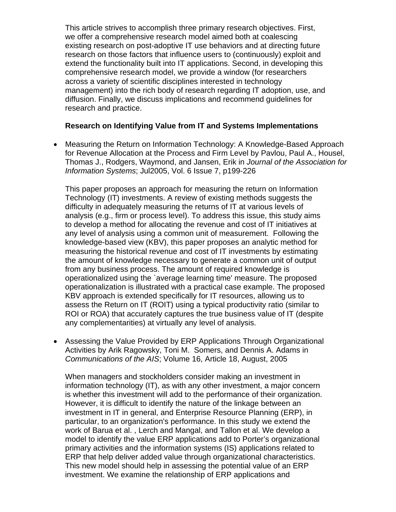<span id="page-25-0"></span>This article strives to accomplish three primary research objectives. First, we offer a comprehensive research model aimed both at coalescing existing research on post-adoptive IT use behaviors and at directing future research on those factors that influence users to (continuously) exploit and extend the functionality built into IT applications. Second, in developing this comprehensive research model, we provide a window (for researchers across a variety of scientific disciplines interested in technology management) into the rich body of research regarding IT adoption, use, and diffusion. Finally, we discuss implications and recommend guidelines for research and practice.

# **Research on Identifying Value from IT and Systems Implementations**

• Measuring the Return on Information Technology: A Knowledge-Based Approach for Revenue Allocation at the Process and Firm Level by Pavlou, Paul A., Housel, Thomas J., Rodgers, Waymond, and Jansen, Erik in *Journal of the Association for Information Systems*; Jul2005, Vol. 6 Issue 7, p199-226

This paper proposes an approach for measuring the return on Information Technology (IT) investments. A review of existing methods suggests the difficulty in adequately measuring the returns of IT at various levels of analysis (e.g., firm or process level). To address this issue, this study aims to develop a method for allocating the revenue and cost of IT initiatives at any level of analysis using a common unit of measurement. Following the knowledge-based view (KBV), this paper proposes an analytic method for measuring the historical revenue and cost of IT investments by estimating the amount of knowledge necessary to generate a common unit of output from any business process. The amount of required knowledge is operationalized using the `average learning time' measure. The proposed operationalization is illustrated with a practical case example. The proposed KBV approach is extended specifically for IT resources, allowing us to assess the Return on IT (ROIT) using a typical productivity ratio (similar to ROI or ROA) that accurately captures the true business value of IT (despite any complementarities) at virtually any level of analysis.

• [Assessing the Value Provided by ERP Applications Through Organizational](http://cais.aisnet.org/articles/default.asp?vol=16&art=18)  [Activities](http://cais.aisnet.org/articles/default.asp?vol=16&art=18) by [Arik Ragowsky,](http://cais.aisnet.org/authors.asp?auth=842) [Toni M. Somers](http://cais.aisnet.org/authors.asp?auth=843), and [Dennis A. Adams](http://cais.aisnet.org/authors.asp?auth=841) in *Communications of the AIS*; Volume 16, Article 18, August, 2005

When managers and stockholders consider making an investment in information technology (IT), as with any other investment, a major concern is whether this investment will add to the performance of their organization. However, it is difficult to identify the nature of the linkage between an investment in IT in general, and Enterprise Resource Planning (ERP), in particular, to an organization's performance. In this study we extend the work of Barua et al. , Lerch and Mangal, and Tallon et al. We develop a model to identify the value ERP applications add to Porter's organizational primary activities and the information systems (IS) applications related to ERP that help deliver added value through organizational characteristics. This new model should help in assessing the potential value of an ERP investment. We examine the relationship of ERP applications and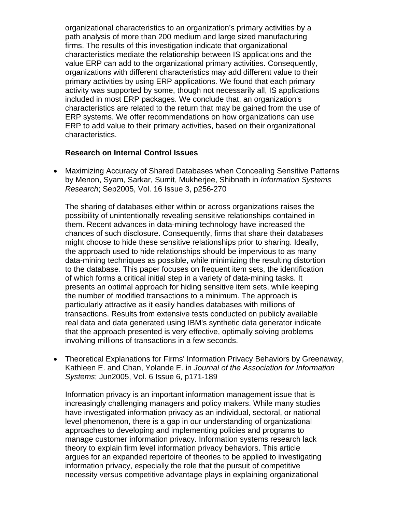<span id="page-26-0"></span>organizational characteristics to an organization's primary activities by a path analysis of more than 200 medium and large sized manufacturing firms. The results of this investigation indicate that organizational characteristics mediate the relationship between IS applications and the value ERP can add to the organizational primary activities. Consequently, organizations with different characteristics may add different value to their primary activities by using ERP applications. We found that each primary activity was supported by some, though not necessarily all, IS applications included in most ERP packages. We conclude that, an organization's characteristics are related to the return that may be gained from the use of ERP systems. We offer recommendations on how organizations can use ERP to add value to their primary activities, based on their organizational characteristics.

#### **Research on Internal Control Issues**

• Maximizing Accuracy of Shared Databases when Concealing Sensitive Patterns by Menon, Syam, Sarkar, Sumit, Mukherjee, Shibnath in *Information Systems Research*; Sep2005, Vol. 16 Issue 3, p256-270

The sharing of databases either within or across organizations raises the possibility of unintentionally revealing sensitive relationships contained in them. Recent advances in data-mining technology have increased the chances of such disclosure. Consequently, firms that share their databases might choose to hide these sensitive relationships prior to sharing. Ideally, the approach used to hide relationships should be impervious to as many data-mining techniques as possible, while minimizing the resulting distortion to the database. This paper focuses on frequent item sets, the identification of which forms a critical initial step in a variety of data-mining tasks. It presents an optimal approach for hiding sensitive item sets, while keeping the number of modified transactions to a minimum. The approach is particularly attractive as it easily handles databases with millions of transactions. Results from extensive tests conducted on publicly available real data and data generated using IBM's synthetic data generator indicate that the approach presented is very effective, optimally solving problems involving millions of transactions in a few seconds.

• Theoretical Explanations for Firms' Information Privacy Behaviors by Greenaway, Kathleen E. and Chan, Yolande E. in *Journal of the Association for Information Systems*; Jun2005, Vol. 6 Issue 6, p171-189

Information privacy is an important information management issue that is increasingly challenging managers and policy makers. While many studies have investigated information privacy as an individual, sectoral, or national level phenomenon, there is a gap in our understanding of organizational approaches to developing and implementing policies and programs to manage customer information privacy. Information systems research lack theory to explain firm level information privacy behaviors. This article argues for an expanded repertoire of theories to be applied to investigating information privacy, especially the role that the pursuit of competitive necessity versus competitive advantage plays in explaining organizational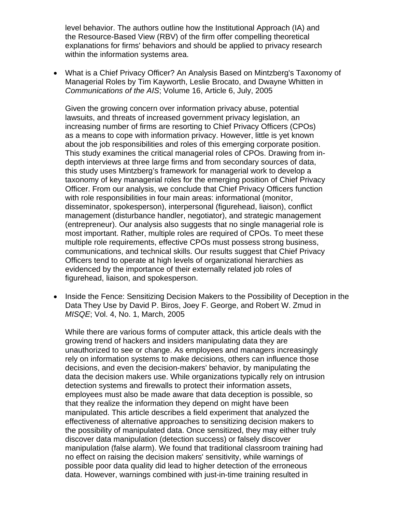level behavior. The authors outline how the Institutional Approach (IA) and the Resource-Based View (RBV) of the firm offer compelling theoretical explanations for firms' behaviors and should be applied to privacy research within the information systems area.

• [What is a Chief Privacy Officer? An Analysis Based on Mintzberg's Taxonomy of](http://cais.aisnet.org/articles/default.asp?vol=16&art=6)  [Managerial Roles](http://cais.aisnet.org/articles/default.asp?vol=16&art=6) by [Tim Kayworth,](http://cais.aisnet.org/authors.asp?auth=818) [Leslie Brocato](http://cais.aisnet.org/authors.asp?auth=819), and [Dwayne Whitten](http://cais.aisnet.org/authors.asp?auth=820) in *Communications of the AIS*; Volume 16, Article 6, July, 2005

Given the growing concern over information privacy abuse, potential lawsuits, and threats of increased government privacy legislation, an increasing number of firms are resorting to Chief Privacy Officers (CPOs) as a means to cope with information privacy. However, little is yet known about the job responsibilities and roles of this emerging corporate position. This study examines the critical managerial roles of CPOs. Drawing from indepth interviews at three large firms and from secondary sources of data, this study uses Mintzberg's framework for managerial work to develop a taxonomy of key managerial roles for the emerging position of Chief Privacy Officer. From our analysis, we conclude that Chief Privacy Officers function with role responsibilities in four main areas: informational (monitor, disseminator, spokesperson), interpersonal (figurehead, liaison), conflict management (disturbance handler, negotiator), and strategic management (entrepreneur). Our analysis also suggests that no single managerial role is most important. Rather, multiple roles are required of CPOs. To meet these multiple role requirements, effective CPOs must possess strong business, communications, and technical skills. Our results suggest that Chief Privacy Officers tend to operate at high levels of organizational hierarchies as evidenced by the importance of their externally related job roles of figurehead, liaison, and spokesperson.

• Inside the Fence: Sensitizing Decision Makers to the Possibility of Deception in the Data They Use by David P. Biros, Joey F. George, and Robert W. Zmud in *MISQE*; Vol. 4, No. 1, March, 2005

While there are various forms of computer attack, this article deals with the growing trend of hackers and insiders manipulating data they are unauthorized to see or change. As employees and managers increasingly rely on information systems to make decisions, others can influence those decisions, and even the decision-makers' behavior, by manipulating the data the decision makers use. While organizations typically rely on intrusion detection systems and firewalls to protect their information assets, employees must also be made aware that data deception is possible, so that they realize the information they depend on might have been manipulated. This article describes a field experiment that analyzed the effectiveness of alternative approaches to sensitizing decision makers to the possibility of manipulated data. Once sensitized, they may either truly discover data manipulation (detection success) or falsely discover manipulation (false alarm). We found that traditional classroom training had no effect on raising the decision makers' sensitivity, while warnings of possible poor data quality did lead to higher detection of the erroneous data. However, warnings combined with just-in-time training resulted in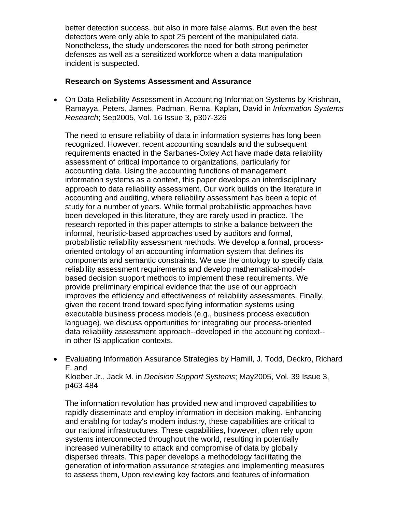<span id="page-28-0"></span>better detection success, but also in more false alarms. But even the best detectors were only able to spot 25 percent of the manipulated data. Nonetheless, the study underscores the need for both strong perimeter defenses as well as a sensitized workforce when a data manipulation incident is suspected.

#### **Research on Systems Assessment and Assurance**

• On Data Reliability Assessment in Accounting Information Systems by Krishnan, Ramayya, Peters, James, Padman, Rema, Kaplan, David in *Information Systems Research*; Sep2005, Vol. 16 Issue 3, p307-326

The need to ensure reliability of data in information systems has long been recognized. However, recent accounting scandals and the subsequent requirements enacted in the Sarbanes-Oxley Act have made data reliability assessment of critical importance to organizations, particularly for accounting data. Using the accounting functions of management information systems as a context, this paper develops an interdisciplinary approach to data reliability assessment. Our work builds on the literature in accounting and auditing, where reliability assessment has been a topic of study for a number of years. While formal probabilistic approaches have been developed in this literature, they are rarely used in practice. The research reported in this paper attempts to strike a balance between the informal, heuristic-based approaches used by auditors and formal, probabilistic reliability assessment methods. We develop a formal, processoriented ontology of an accounting information system that defines its components and semantic constraints. We use the ontology to specify data reliability assessment requirements and develop mathematical-modelbased decision support methods to implement these requirements. We provide preliminary empirical evidence that the use of our approach improves the efficiency and effectiveness of reliability assessments. Finally, given the recent trend toward specifying information systems using executable business process models (e.g., business process execution language), we discuss opportunities for integrating our process-oriented data reliability assessment approach--developed in the accounting context- in other IS application contexts.

• Evaluating Information Assurance Strategies by Hamill, J. Todd, Deckro, Richard F. and

Kloeber Jr., Jack M. in *Decision Support Systems*; May2005, Vol. 39 Issue 3, p463-484

The information revolution has provided new and improved capabilities to rapidly disseminate and employ information in decision-making. Enhancing and enabling for today's modem industry, these capabilities are critical to our national infrastructures. These capabilities, however, often rely upon systems interconnected throughout the world, resulting in potentially increased vulnerability to attack and compromise of data by globally dispersed threats. This paper develops a methodology facilitating the generation of information assurance strategies and implementing measures to assess them, Upon reviewing key factors and features of information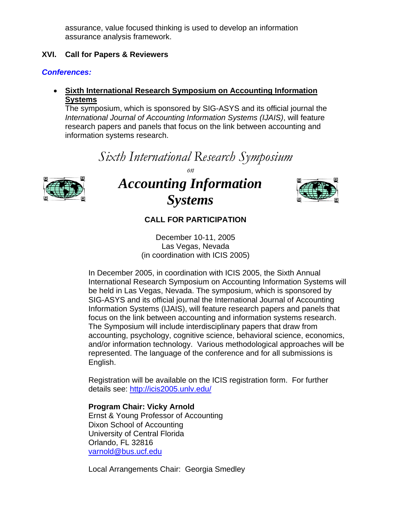assurance, value focused thinking is used to develop an information assurance analysis framework.

# <span id="page-29-0"></span>**XVI. Call for Papers & Reviewers**

# *Conferences:*

# • **Sixth International Research Symposium on Accounting Information Systems**

The symposium, which is sponsored by SIG-ASYS and its official journal the *International Journal of Accounting Information Systems (IJAIS)*, will feature research papers and panels that focus on the link between accounting and information systems research.

# *Sixth International Research Symposium*



*on* 

# *Accounting Information Systems*



# **CALL FOR PARTICIPATION**

December 10-11, 2005 Las Vegas, Nevada (in coordination with ICIS 2005)

In December 2005, in coordination with ICIS 2005, the Sixth Annual International Research Symposium on Accounting Information Systems will be held in Las Vegas, Nevada. The symposium, which is sponsored by SIG-ASYS and its official journal the International Journal of Accounting Information Systems (IJAIS), will feature research papers and panels that focus on the link between accounting and information systems research. The Symposium will include interdisciplinary papers that draw from accounting, psychology, cognitive science, behavioral science, economics, and/or information technology. Various methodological approaches will be represented. The language of the conference and for all submissions is English.

Registration will be available on the ICIS registration form. For further details see: <http://icis2005.unlv.edu/>

# **Program Chair: Vicky Arnold**

Ernst & Young Professor of Accounting Dixon School of Accounting University of Central Florida Orlando, FL 32816 [varnold@bus.ucf.edu](mailto:varnold@bus.ucf.edu)

Local Arrangements Chair: Georgia Smedley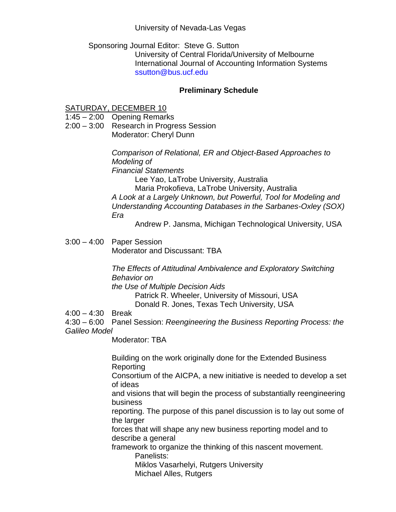# University of Nevada-Las Vegas

# Sponsoring Journal Editor: Steve G. Sutton University of Central Florida/University of Melbourne International Journal of Accounting Information Systems ssutton@bus.ucf.edu

# **Preliminary Schedule**

# SATURDAY, DECEMBER 10

1:45 – 2:00 Opening Remarks

2:00 – 3:00 Research in Progress Session Moderator: Cheryl Dunn

> *Comparison of Relational, ER and Object-Based Approaches to Modeling of*

*Financial Statements* 

Lee Yao, LaTrobe University, Australia

Maria Prokofieva, LaTrobe University, Australia

*A Look at a Largely Unknown, but Powerful, Tool for Modeling and Understanding Accounting Databases in the Sarbanes-Oxley (SOX) Era* 

Andrew P. Jansma, Michigan Technological University, USA

3:00 – 4:00 Paper Session Moderator and Discussant: TBA

> *The Effects of Attitudinal Ambivalence and Exploratory Switching Behavior on*

*the Use of Multiple Decision Aids* 

Patrick R. Wheeler, University of Missouri, USA Donald R. Jones, Texas Tech University, USA

4:00 – 4:30 Break

4:30 – 6:00 Panel Session: *Reengineering the Business Reporting Process: the Galileo Model* 

Moderator: TBA

Building on the work originally done for the Extended Business Reporting Consortium of the AICPA, a new initiative is needed to develop a set of ideas and visions that will begin the process of substantially reengineering business reporting. The purpose of this panel discussion is to lay out some of the larger forces that will shape any new business reporting model and to describe a general framework to organize the thinking of this nascent movement. Panelists: Miklos Vasarhelyi, Rutgers University Michael Alles, Rutgers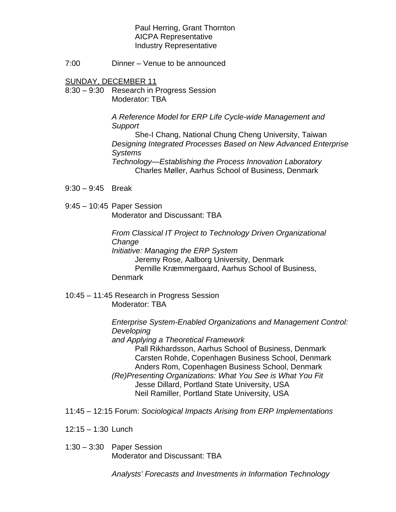Paul Herring, Grant Thornton AICPA Representative Industry Representative

7:00 Dinner – Venue to be announced

SUNDAY, DECEMBER 11

8:30 – 9:30 Research in Progress Session Moderator: TBA

> *A Reference Model for ERP Life Cycle-wide Management and Support*

She-I Chang, National Chung Cheng University, Taiwan *Designing Integrated Processes Based on New Advanced Enterprise Systems* 

*Technology—Establishing the Process Innovation Laboratory*  Charles Møller, Aarhus School of Business, Denmark

- 9:30 9:45 Break
- 9:45 10:45 Paper Session Moderator and Discussant: TBA

*From Classical IT Project to Technology Driven Organizational Change Initiative: Managing the ERP System*  Jeremy Rose, Aalborg University, Denmark Pernille Kræmmergaard, Aarhus School of Business, **Denmark** 

10:45 – 11:45 Research in Progress Session Moderator: TBA

> *Enterprise System-Enabled Organizations and Management Control: Developing*

*and Applying a Theoretical Framework*  Pall Rikhardsson, Aarhus School of Business, Denmark Carsten Rohde, Copenhagen Business School, Denmark Anders Rom, Copenhagen Business School, Denmark *(Re)Presenting Organizations: What You See is What You Fit*  Jesse Dillard, Portland State University, USA Neil Ramiller, Portland State University, USA

- 11:45 12:15 Forum: *Sociological Impacts Arising from ERP Implementations*
- 12:15 1:30 Lunch
- 1:30 3:30 Paper Session Moderator and Discussant: TBA

*Analysts' Forecasts and Investments in Information Technology*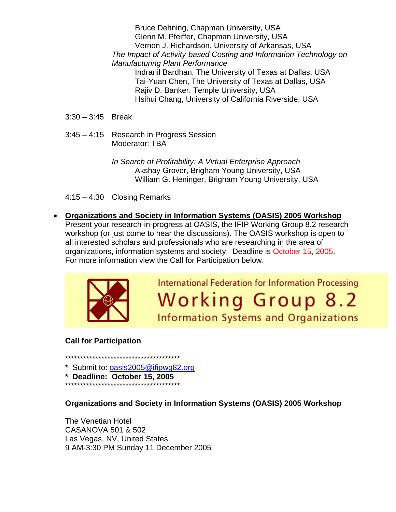Bruce Dehning, Chapman University, USA Glenn M. Pfeiffer, Chapman University, USA Vernon J. Richardson, University of Arkansas, USA *The Impact of Activity-based Costing and Information Technology on Manufacturing Plant Performance*  Indranil Bardhan, The University of Texas at Dallas, USA Tai-Yuan Chen, The University of Texas at Dallas, USA Rajiv D. Banker, Temple University, USA Hsihui Chang, University of California Riverside, USA

- 3:30 3:45 Break
- 3:45 4:15 Research in Progress Session Moderator: TBA

*In Search of Profitability: A Virtual Enterprise Approach*  Akshay Grover, Brigham Young University, USA William G. Heninger, Brigham Young University, USA

4:15 – 4:30 Closing Remarks

• **Organizations and Society in Information Systems (OASIS) 2005 Workshop** Present your research-in-progress at OASIS, the IFIP Working Group 8.2 research workshop (or just come to hear the discussions). The OASIS workshop is open to all interested scholars and professionals who are researching in the area of organizations, information systems and society. Deadline is October 15, 2005. For more information view the Call for Participation below.



**International Federation for Information Processing Working Group 8.2 Information Systems and Organizations** 

# **Call for Participation**

\*\*\*\*\*\*\*\*\*\*\*\*\*\*\*\*\*\*\*\*\*\*\*\*\*\*\*\*\*\*\*\*\*\*\*\*\*\*

- **\*** Submit to: [oasis2005@ifipwg82.org](mailto:oasis2005@ifipwg82.org)
- **\* Deadline: October 15, 2005**
- \*\*\*\*\*\*\*\*\*\*\*\*\*\*\*\*\*\*\*\*\*\*\*\*\*\*\*\*\*\*\*\*\*\*\*\*\*\*

**Organizations and Society in Information Systems (OASIS) 2005 Workshop** 

The Venetian Hotel CASANOVA 501 & 502 Las Vegas, NV, United States 9 AM-3:30 PM Sunday 11 December 2005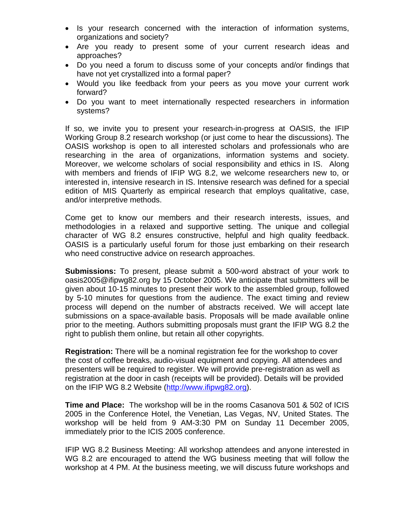- Is your research concerned with the interaction of information systems, organizations and society?
- Are you ready to present some of your current research ideas and approaches?
- Do you need a forum to discuss some of your concepts and/or findings that have not yet crystallized into a formal paper?
- Would you like feedback from your peers as you move your current work forward?
- Do you want to meet internationally respected researchers in information systems?

If so, we invite you to present your research-in-progress at OASIS, the IFIP Working Group 8.2 research workshop (or just come to hear the discussions). The OASIS workshop is open to all interested scholars and professionals who are researching in the area of organizations, information systems and society. Moreover, we welcome scholars of social responsibility and ethics in IS. Along with members and friends of IFIP WG 8.2, we welcome researchers new to, or interested in, intensive research in IS. Intensive research was defined for a special edition of MIS Quarterly as empirical research that employs qualitative, case, and/or interpretive methods.

Come get to know our members and their research interests, issues, and methodologies in a relaxed and supportive setting. The unique and collegial character of WG 8.2 ensures constructive, helpful and high quality feedback. OASIS is a particularly useful forum for those just embarking on their research who need constructive advice on research approaches.

**Submissions:** To present, please submit a 500-word abstract of your work to oasis2005@ifipwg82.org by 15 October 2005. We anticipate that submitters will be given about 10-15 minutes to present their work to the assembled group, followed by 5-10 minutes for questions from the audience. The exact timing and review process will depend on the number of abstracts received. We will accept late submissions on a space-available basis. Proposals will be made available online prior to the meeting. Authors submitting proposals must grant the IFIP WG 8.2 the right to publish them online, but retain all other copyrights.

**Registration:** There will be a nominal registration fee for the workshop to cover the cost of coffee breaks, audio-visual equipment and copying. All attendees and presenters will be required to register. We will provide pre-registration as well as registration at the door in cash (receipts will be provided). Details will be provided on the IFIP WG 8.2 Website ([http://www.ifipwg82.org](http://www.ifipwg82.org/)).

**Time and Place:** The workshop will be in the rooms Casanova 501 & 502 of ICIS 2005 in the Conference Hotel, the Venetian, Las Vegas, NV, United States. The workshop will be held from 9 AM-3:30 PM on Sunday 11 December 2005, immediately prior to the ICIS 2005 conference.

IFIP WG 8.2 Business Meeting: All workshop attendees and anyone interested in WG 8.2 are encouraged to attend the WG business meeting that will follow the workshop at 4 PM. At the business meeting, we will discuss future workshops and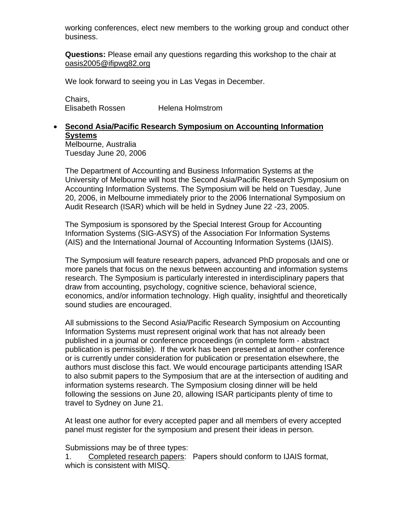working conferences, elect new members to the working group and conduct other business.

**Questions:** Please email any questions regarding this workshop to the chair at [oasis2005@ifipwg82.org](mailto:oasis2005@ifipwg82.org)

We look forward to seeing you in Las Vegas in December.

Chairs, Elisabeth Rossen Helena Holmstrom

#### • **Second Asia/Pacific Research Symposium on Accounting Information Systems** Melbourne, Australia

Tuesday June 20, 2006

The Department of Accounting and Business Information Systems at the University of Melbourne will host the Second Asia/Pacific Research Symposium on Accounting Information Systems. The Symposium will be held on Tuesday, June 20, 2006, in Melbourne immediately prior to the 2006 International Symposium on Audit Research (ISAR) which will be held in Sydney June 22 -23, 2005.

The Symposium is sponsored by the Special Interest Group for Accounting Information Systems (SIG-ASYS) of the Association For Information Systems (AIS) and the International Journal of Accounting Information Systems (IJAIS).

The Symposium will feature research papers, advanced PhD proposals and one or more panels that focus on the nexus between accounting and information systems research. The Symposium is particularly interested in interdisciplinary papers that draw from accounting, psychology, cognitive science, behavioral science, economics, and/or information technology. High quality, insightful and theoretically sound studies are encouraged.

All submissions to the Second Asia/Pacific Research Symposium on Accounting Information Systems must represent original work that has not already been published in a journal or conference proceedings (in complete form - abstract publication is permissible). If the work has been presented at another conference or is currently under consideration for publication or presentation elsewhere, the authors must disclose this fact. We would encourage participants attending ISAR to also submit papers to the Symposium that are at the intersection of auditing and information systems research. The Symposium closing dinner will be held following the sessions on June 20, allowing ISAR participants plenty of time to travel to Sydney on June 21.

At least one author for every accepted paper and all members of every accepted panel must register for the symposium and present their ideas in person.

Submissions may be of three types:

1. Completed research papers: Papers should conform to IJAIS format, which is consistent with MISQ.